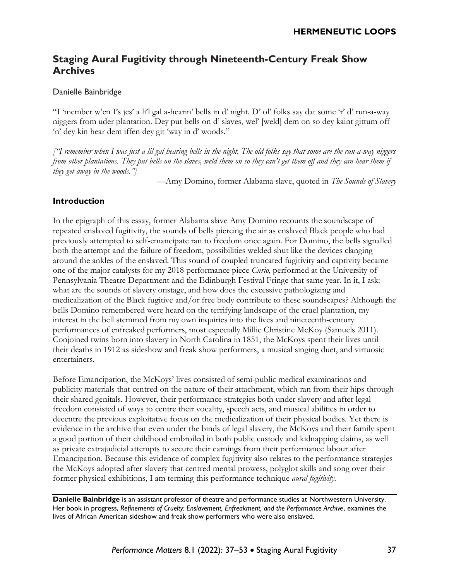# **Staging Aural Fugitivity through Nineteenth-Century Freak Show Archives**

### Danielle Bainbridge

"I 'member w'en I's jes' a li'l gal a-hearin' bells in d' night. D' ol' folks say dat some 'r' d' run-a-way niggers from uder plantation. Dey put bells on d' slaves, wel' [weld] dem on so dey kaint gittum off 'n' dey kin hear dem iffen dey git 'way in d' woods."

["I remember when I was just a lil gal hearing bells in the night. The old folks say that some are the run-a-way niggers from other plantations. They put bells on the slaves, weld them on so they can't get them off and they can hear them if *they get away in the woods."]*

—Amy Domino, former Alabama slave, quoted in *The Sounds of Slavery*

### **Introduction**

In the epigraph of this essay, former Alabama slave Amy Domino recounts the soundscape of repeated enslaved fugitivity, the sounds of bells piercing the air as enslaved Black people who had previously attempted to self-emancipate ran to freedom once again. For Domino, the bells signalled both the attempt and the failure of freedom, possibilities welded shut like the devices clanging around the ankles of the enslaved. This sound of coupled truncated fugitivity and captivity became one of the major catalysts for my 2018 performance piece *Curio*, performed at the University of Pennsylvania Theatre Department and the Edinburgh Festival Fringe that same year. In it, I ask: what are the sounds of slavery onstage, and how does the excessive pathologizing and medicalization of the Black fugitive and/or free body contribute to these soundscapes? Although the bells Domino remembered were heard on the terrifying landscape of the cruel plantation, my interest in the bell stemmed from my own inquiries into the lives and nineteenth-century performances of enfreaked performers, most especially Millie Christine McKoy (Samuels 2011). Conjoined twins born into slavery in North Carolina in 1851, the McKoys spent their lives until their deaths in 1912 as sideshow and freak show performers, a musical singing duet, and virtuosic entertainers.

Before Emancipation, the McKoys' lives consisted of semi-public medical examinations and publicity materials that centred on the nature of their attachment, which ran from their hips through their shared genitals. However, their performance strategies both under slavery and after legal freedom consisted of ways to centre their vocality, speech acts, and musical abilities in order to decentre the previous exploitative focus on the medicalization of their physical bodies. Yet there is evidence in the archive that even under the binds of legal slavery, the McKoys and their family spent a good portion of their childhood embroiled in both public custody and kidnapping claims, as well as private extrajudicial attempts to secure their earnings from their performance labour after Emancipation. Because this evidence of complex fugitivity also relates to the performance strategies the McKoys adopted after slavery that centred mental prowess, polyglot skills and song over their former physical exhibitions, I am terming this performance technique *aural fugitivity.*

**Danielle Bainbridge** is an assistant professor of theatre and performance studies at Northwestern University. Her book in progress, *Refinements of Cruelty: Enslavement, Enfreakment, and the Performance Archive*, examines the lives of African American sideshow and freak show performers who were also enslaved.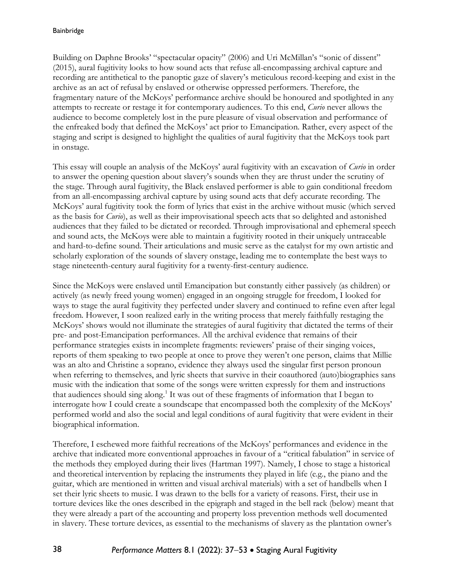Building on Daphne Brooks' "spectacular opacity" (2006) and Uri McMillan's "sonic of dissent" (2015), aural fugitivity looks to how sound acts that refuse all-encompassing archival capture and recording are antithetical to the panoptic gaze of slavery's meticulous record-keeping and exist in the archive as an act of refusal by enslaved or otherwise oppressed performers. Therefore, the fragmentary nature of the McKoys' performance archive should be honoured and spotlighted in any attempts to recreate or restage it for contemporary audiences. To this end, *Curio* never allows the audience to become completely lost in the pure pleasure of visual observation and performance of the enfreaked body that defined the McKoys' act prior to Emancipation. Rather, every aspect of the staging and script is designed to highlight the qualities of aural fugitivity that the McKoys took part in onstage.

This essay will couple an analysis of the McKoys' aural fugitivity with an excavation of *Curio* in order to answer the opening question about slavery's sounds when they are thrust under the scrutiny of the stage. Through aural fugitivity, the Black enslaved performer is able to gain conditional freedom from an all-encompassing archival capture by using sound acts that defy accurate recording. The McKoys' aural fugitivity took the form of lyrics that exist in the archive without music (which served as the basis for *Curio*), as well as their improvisational speech acts that so delighted and astonished audiences that they failed to be dictated or recorded. Through improvisational and ephemeral speech and sound acts, the McKoys were able to maintain a fugitivity rooted in their uniquely untraceable and hard-to-define sound. Their articulations and music serve as the catalyst for my own artistic and scholarly exploration of the sounds of slavery onstage, leading me to contemplate the best ways to stage nineteenth-century aural fugitivity for a twenty-first-century audience.

Since the McKoys were enslaved until Emancipation but constantly either passively (as children) or actively (as newly freed young women) engaged in an ongoing struggle for freedom, I looked for ways to stage the aural fugitivity they perfected under slavery and continued to refine even after legal freedom. However, I soon realized early in the writing process that merely faithfully restaging the McKoys' shows would not illuminate the strategies of aural fugitivity that dictated the terms of their pre- and post-Emancipation performances. All the archival evidence that remains of their performance strategies exists in incomplete fragments: reviewers' praise of their singing voices, reports of them speaking to two people at once to prove they weren't one person, claims that Millie was an alto and Christine a soprano, evidence they always used the singular first person pronoun when referring to themselves, and lyric sheets that survive in their coauthored (auto)biographies sans music with the indication that some of the songs were written expressly for them and instructions that audiences should sing along.<sup>1</sup> It was out of these fragments of information that I began to interrogate how I could create a soundscape that encompassed both the complexity of the McKoys' performed world and also the social and legal conditions of aural fugitivity that were evident in their biographical information.

Therefore, I eschewed more faithful recreations of the McKoys' performances and evidence in the archive that indicated more conventional approaches in favour of a "critical fabulation" in service of the methods they employed during their lives (Hartman 1997). Namely, I chose to stage a historical and theoretical intervention by replacing the instruments they played in life (e.g., the piano and the guitar, which are mentioned in written and visual archival materials) with a set of handbells when I set their lyric sheets to music. I was drawn to the bells for a variety of reasons. First, their use in torture devices like the ones described in the epigraph and staged in the bell rack (below) meant that they were already a part of the accounting and property loss prevention methods well documented in slavery. These torture devices, as essential to the mechanisms of slavery as the plantation owner's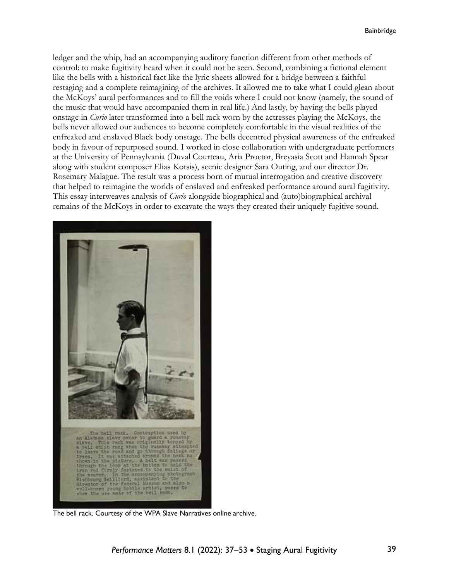ledger and the whip, had an accompanying auditory function different from other methods of control: to make fugitivity heard when it could not be seen. Second, combining a fictional element like the bells with a historical fact like the lyric sheets allowed for a bridge between a faithful restaging and a complete reimagining of the archives. It allowed me to take what I could glean about the McKoys' aural performances and to fill the voids where I could not know (namely, the sound of the music that would have accompanied them in real life.) And lastly, by having the bells played onstage in *Curio* later transformed into a bell rack worn by the actresses playing the McKoys, the bells never allowed our audiences to become completely comfortable in the visual realities of the enfreaked and enslaved Black body onstage. The bells decentred physical awareness of the enfreaked body in favour of repurposed sound. I worked in close collaboration with undergraduate performers at the University of Pennsylvania (Duval Courteau, Aria Proctor, Breyasia Scott and Hannah Spear along with student composer Elias Kotsis), scenic designer Sara Outing, and our director Dr. Rosemary Malague. The result was a process born of mutual interrogation and creative discovery that helped to reimagine the worlds of enslaved and enfreaked performance around aural fugitivity. This essay interweaves analysis of *Curio* alongside biographical and (auto)biographical archival remains of the McKoys in order to excavate the ways they created their uniquely fugitive sound.



The bell rack. Courtesy of the WPA Slave Narratives online archive.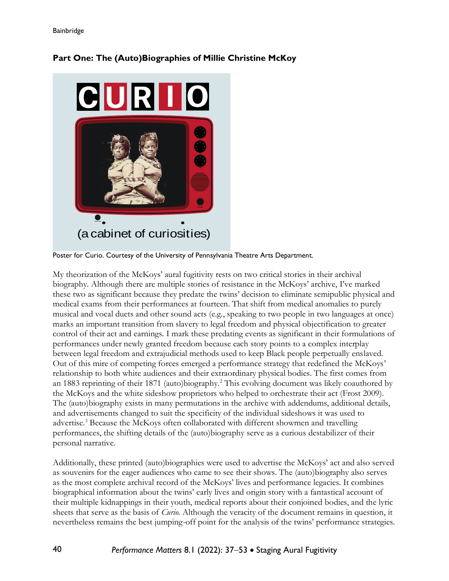

## **Part One: The (Auto)Biographies of Millie Christine McKoy**

Poster for Curio. Courtesy of the University of Pennsylvania Theatre Arts Department.

My theorization of the McKoys' aural fugitivity rests on two critical stories in their archival biography. Although there are multiple stories of resistance in the McKoys' archive, I've marked these two as significant because they predate the twins' decision to eliminate semipublic physical and medical exams from their performances at fourteen. That shift from medical anomalies to purely musical and vocal duets and other sound acts (e.g., speaking to two people in two languages at once) marks an important transition from slavery to legal freedom and physical objectification to greater control of their act and earnings. I mark these predating events as significant in their formulations of performances under newly granted freedom because each story points to a complex interplay between legal freedom and extrajudicial methods used to keep Black people perpetually enslaved. Out of this mire of competing forces emerged a performance strategy that redefined the McKoys' relationship to both white audiences and their extraordinary physical bodies. The first comes from an 1883 reprinting of their 1871 (auto)biography.<sup>2</sup> This evolving document was likely coauthored by the McKoys and the white sideshow proprietors who helped to orchestrate their act (Frost 2009). The (auto)biography exists in many permutations in the archive with addendums, additional details, and advertisements changed to suit the specificity of the individual sideshows it was used to advertise.<sup>3</sup> Because the McKoys often collaborated with different showmen and travelling performances, the shifting details of the (auto)biography serve as a curious destabilizer of their personal narrative.

Additionally, these printed (auto)biographies were used to advertise the McKoys' act and also served as souvenirs for the eager audiences who came to see their shows. The (auto)biography also serves as the most complete archival record of the McKoys' lives and performance legacies. It combines biographical information about the twins' early lives and origin story with a fantastical account of their multiple kidnappings in their youth, medical reports about their conjoined bodies, and the lyric sheets that serve as the basis of *Curio*. Although the veracity of the document remains in question, it nevertheless remains the best jumping-off point for the analysis of the twins' performance strategies.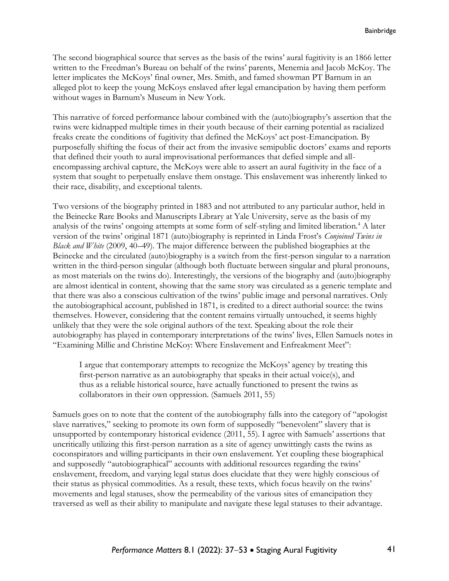The second biographical source that serves as the basis of the twins' aural fugitivity is an 1866 letter written to the Freedman's Bureau on behalf of the twins' parents, Menemia and Jacob McKoy. The letter implicates the McKoys' final owner, Mrs. Smith, and famed showman PT Barnum in an alleged plot to keep the young McKoys enslaved after legal emancipation by having them perform without wages in Barnum's Museum in New York.

This narrative of forced performance labour combined with the (auto)biography's assertion that the twins were kidnapped multiple times in their youth because of their earning potential as racialized freaks create the conditions of fugitivity that defined the McKoys' act post-Emancipation. By purposefully shifting the focus of their act from the invasive semipublic doctors' exams and reports that defined their youth to aural improvisational performances that defied simple and allencompassing archival capture, the McKoys were able to assert an aural fugitivity in the face of a system that sought to perpetually enslave them onstage. This enslavement was inherently linked to their race, disability, and exceptional talents.

Two versions of the biography printed in 1883 and not attributed to any particular author, held in the Beinecke Rare Books and Manuscripts Library at Yale University, serve as the basis of my analysis of the twins' ongoing attempts at some form of self-styling and limited liberation.<sup>4</sup> A later version of the twins' original 1871 (auto)biography is reprinted in Linda Frost's *Conjoined Twins in Black and White* (2009, 40–49)*.* The major difference between the published biographies at the Beinecke and the circulated (auto)biography is a switch from the first-person singular to a narration written in the third-person singular (although both fluctuate between singular and plural pronouns, as most materials on the twins do). Interestingly, the versions of the biography and (auto)biography are almost identical in content, showing that the same story was circulated as a generic template and that there was also a conscious cultivation of the twins' public image and personal narratives. Only the autobiographical account, published in 1871, is credited to a direct authorial source: the twins themselves. However, considering that the content remains virtually untouched, it seems highly unlikely that they were the sole original authors of the text. Speaking about the role their autobiography has played in contemporary interpretations of the twins' lives, Ellen Samuels notes in "Examining Millie and Christine McKoy: Where Enslavement and Enfreakment Meet":

I argue that contemporary attempts to recognize the McKoys' agency by treating this first-person narrative as an autobiography that speaks in their actual voice(s), and thus as a reliable historical source, have actually functioned to present the twins as collaborators in their own oppression. (Samuels 2011, 55)

Samuels goes on to note that the content of the autobiography falls into the category of "apologist slave narratives," seeking to promote its own form of supposedly "benevolent" slavery that is unsupported by contemporary historical evidence (2011, 55). I agree with Samuels' assertions that uncritically utilizing this first-person narration as a site of agency unwittingly casts the twins as coconspirators and willing participants in their own enslavement. Yet coupling these biographical and supposedly "autobiographical" accounts with additional resources regarding the twins' enslavement, freedom, and varying legal status does elucidate that they were highly conscious of their status as physical commodities. As a result, these texts, which focus heavily on the twins' movements and legal statuses, show the permeability of the various sites of emancipation they traversed as well as their ability to manipulate and navigate these legal statuses to their advantage.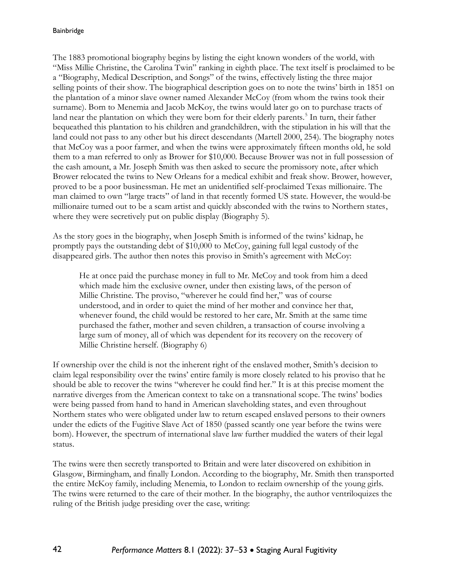The 1883 promotional biography begins by listing the eight known wonders of the world, with "Miss Millie Christine, the Carolina Twin" ranking in eighth place. The text itself is proclaimed to be a "Biography, Medical Description, and Songs" of the twins, effectively listing the three major selling points of their show. The biographical description goes on to note the twins' birth in 1851 on the plantation of a minor slave owner named Alexander McCoy (from whom the twins took their surname). Born to Menemia and Jacob McKoy, the twins would later go on to purchase tracts of land near the plantation on which they were born for their elderly parents.<sup>5</sup> In turn, their father bequeathed this plantation to his children and grandchildren, with the stipulation in his will that the land could not pass to any other but his direct descendants (Martell 2000, 254). The biography notes that McCoy was a poor farmer, and when the twins were approximately fifteen months old, he sold them to a man referred to only as Brower for \$10,000. Because Brower was not in full possession of the cash amount, a Mr. Joseph Smith was then asked to secure the promissory note, after which Brower relocated the twins to New Orleans for a medical exhibit and freak show. Brower, however, proved to be a poor businessman. He met an unidentified self-proclaimed Texas millionaire. The man claimed to own "large tracts" of land in that recently formed US state. However, the would-be millionaire turned out to be a scam artist and quickly absconded with the twins to Northern states, where they were secretively put on public display (Biography 5).

As the story goes in the biography, when Joseph Smith is informed of the twins' kidnap, he promptly pays the outstanding debt of \$10,000 to McCoy, gaining full legal custody of the disappeared girls. The author then notes this proviso in Smith's agreement with McCoy:

He at once paid the purchase money in full to Mr. McCoy and took from him a deed which made him the exclusive owner, under then existing laws, of the person of Millie Christine. The proviso, "wherever he could find her," was of course understood, and in order to quiet the mind of her mother and convince her that, whenever found, the child would be restored to her care, Mr. Smith at the same time purchased the father, mother and seven children, a transaction of course involving a large sum of money, all of which was dependent for its recovery on the recovery of Millie Christine herself. (Biography 6)

If ownership over the child is not the inherent right of the enslaved mother, Smith's decision to claim legal responsibility over the twins' entire family is more closely related to his proviso that he should be able to recover the twins "wherever he could find her." It is at this precise moment the narrative diverges from the American context to take on a transnational scope. The twins' bodies were being passed from hand to hand in American slaveholding states, and even throughout Northern states who were obligated under law to return escaped enslaved persons to their owners under the edicts of the Fugitive Slave Act of 1850 (passed scantly one year before the twins were born). However, the spectrum of international slave law further muddied the waters of their legal status.

The twins were then secretly transported to Britain and were later discovered on exhibition in Glasgow, Birmingham, and finally London. According to the biography, Mr. Smith then transported the entire McKoy family, including Menemia, to London to reclaim ownership of the young girls. The twins were returned to the care of their mother. In the biography, the author ventriloquizes the ruling of the British judge presiding over the case, writing: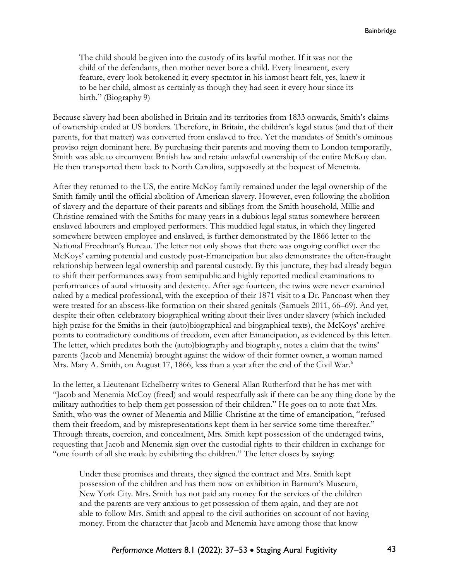The child should be given into the custody of its lawful mother. If it was not the child of the defendants, then mother never bore a child. Every lineament, every feature, every look betokened it; every spectator in his inmost heart felt, yes, knew it to be her child, almost as certainly as though they had seen it every hour since its birth." (Biography 9)

Because slavery had been abolished in Britain and its territories from 1833 onwards, Smith's claims of ownership ended at US borders. Therefore, in Britain, the children's legal status (and that of their parents, for that matter) was converted from enslaved to free. Yet the mandates of Smith's ominous proviso reign dominant here. By purchasing their parents and moving them to London temporarily, Smith was able to circumvent British law and retain unlawful ownership of the entire McKoy clan. He then transported them back to North Carolina, supposedly at the bequest of Menemia.

After they returned to the US, the entire McKoy family remained under the legal ownership of the Smith family until the official abolition of American slavery. However, even following the abolition of slavery and the departure of their parents and siblings from the Smith household, Millie and Christine remained with the Smiths for many years in a dubious legal status somewhere between enslaved labourers and employed performers. This muddied legal status, in which they lingered somewhere between employee and enslaved, is further demonstrated by the 1866 letter to the National Freedman's Bureau. The letter not only shows that there was ongoing conflict over the McKoys' earning potential and custody post-Emancipation but also demonstrates the often-fraught relationship between legal ownership and parental custody. By this juncture, they had already begun to shift their performances away from semipublic and highly reported medical examinations to performances of aural virtuosity and dexterity. After age fourteen, the twins were never examined naked by a medical professional, with the exception of their 1871 visit to a Dr. Pancoast when they were treated for an abscess-like formation on their shared genitals (Samuels 2011, 66–69). And yet, despite their often-celebratory biographical writing about their lives under slavery (which included high praise for the Smiths in their (auto)biographical and biographical texts), the McKoys' archive points to contradictory conditions of freedom, even after Emancipation, as evidenced by this letter. The letter, which predates both the (auto)biography and biography, notes a claim that the twins' parents (Jacob and Menemia) brought against the widow of their former owner, a woman named Mrs. Mary A. Smith, on August 17, 1866, less than a year after the end of the Civil War.<sup>6</sup>

In the letter, a Lieutenant Echelberry writes to General Allan Rutherford that he has met with "Jacob and Menemia McCoy (freed) and would respectfully ask if there can be any thing done by the military authorities to help them get possession of their children." He goes on to note that Mrs. Smith, who was the owner of Menemia and Millie-Christine at the time of emancipation, "refused them their freedom, and by misrepresentations kept them in her service some time thereafter." Through threats, coercion, and concealment, Mrs. Smith kept possession of the underaged twins, requesting that Jacob and Menemia sign over the custodial rights to their children in exchange for "one fourth of all she made by exhibiting the children." The letter closes by saying:

Under these promises and threats, they signed the contract and Mrs. Smith kept possession of the children and has them now on exhibition in Barnum's Museum, New York City. Mrs. Smith has not paid any money for the services of the children and the parents are very anxious to get possession of them again, and they are not able to follow Mrs. Smith and appeal to the civil authorities on account of not having money. From the character that Jacob and Menemia have among those that know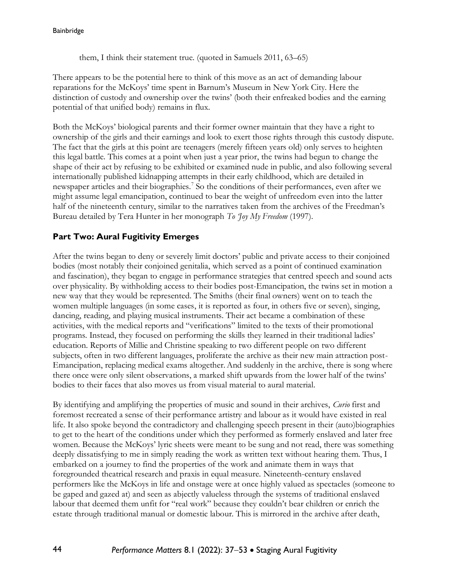them, I think their statement true. (quoted in Samuels 2011, 63–65)

There appears to be the potential here to think of this move as an act of demanding labour reparations for the McKoys' time spent in Barnum's Museum in New York City. Here the distinction of custody and ownership over the twins' (both their enfreaked bodies and the earning potential of that unified body) remains in flux.

Both the McKoys' biological parents and their former owner maintain that they have a right to ownership of the girls and their earnings and look to exert those rights through this custody dispute. The fact that the girls at this point are teenagers (merely fifteen years old) only serves to heighten this legal battle. This comes at a point when just a year prior, the twins had begun to change the shape of their act by refusing to be exhibited or examined nude in public, and also following several internationally published kidnapping attempts in their early childhood, which are detailed in newspaper articles and their biographies.<sup>7</sup> So the conditions of their performances, even after we might assume legal emancipation, continued to bear the weight of unfreedom even into the latter half of the nineteenth century, similar to the narratives taken from the archives of the Freedman's Bureau detailed by Tera Hunter in her monograph *To 'Joy My Freedom* (1997).

## **Part Two: Aural Fugitivity Emerges**

After the twins began to deny or severely limit doctors' public and private access to their conjoined bodies (most notably their conjoined genitalia, which served as a point of continued examination and fascination), they began to engage in performance strategies that centred speech and sound acts over physicality. By withholding access to their bodies post-Emancipation, the twins set in motion a new way that they would be represented. The Smiths (their final owners) went on to teach the women multiple languages (in some cases, it is reported as four, in others five or seven), singing, dancing, reading, and playing musical instruments. Their act became a combination of these activities, with the medical reports and "verifications" limited to the texts of their promotional programs. Instead, they focused on performing the skills they learned in their traditional ladies' education. Reports of Millie and Christine speaking to two different people on two different subjects, often in two different languages, proliferate the archive as their new main attraction post-Emancipation, replacing medical exams altogether.And suddenly in the archive, there is song where there once were only silent observations, a marked shift upwards from the lower half of the twins' bodies to their faces that also moves us from visual material to aural material.

By identifying and amplifying the properties of music and sound in their archives, *Curio* first and foremost recreated a sense of their performance artistry and labour as it would have existed in real life. It also spoke beyond the contradictory and challenging speech present in their (auto)biographies to get to the heart of the conditions under which they performed as formerly enslaved and later free women. Because the McKoys' lyric sheets were meant to be sung and not read, there was something deeply dissatisfying to me in simply reading the work as written text without hearing them. Thus, I embarked on a journey to find the properties of the work and animate them in ways that foregrounded theatrical research and praxis in equal measure. Nineteenth-century enslaved performers like the McKoys in life and onstage were at once highly valued as spectacles (someone to be gaped and gazed at) and seen as abjectly valueless through the systems of traditional enslaved labour that deemed them unfit for "real work" because they couldn't bear children or enrich the estate through traditional manual or domestic labour. This is mirrored in the archive after death,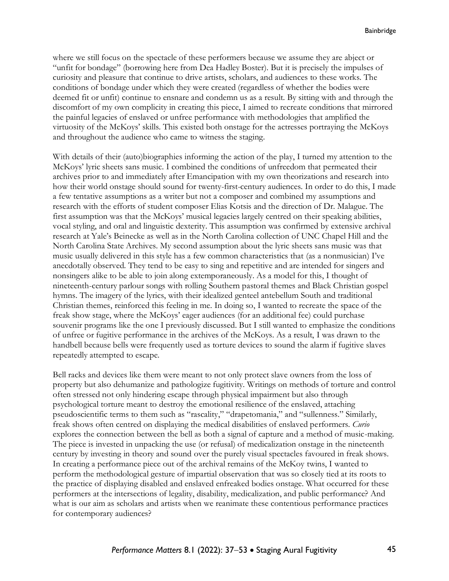where we still focus on the spectacle of these performers because we assume they are abject or "unfit for bondage" (borrowing here from Dea Hadley Boster). But it is precisely the impulses of curiosity and pleasure that continue to drive artists, scholars, and audiences to these works. The conditions of bondage under which they were created (regardless of whether the bodies were deemed fit or unfit) continue to ensnare and condemn us as a result. By sitting with and through the discomfort of my own complicity in creating this piece, I aimed to recreate conditions that mirrored the painful legacies of enslaved or unfree performance with methodologies that amplified the virtuosity of the McKoys' skills. This existed both onstage for the actresses portraying the McKoys and throughout the audience who came to witness the staging.

With details of their (auto)biographies informing the action of the play, I turned my attention to the McKoys' lyric sheets sans music. I combined the conditions of unfreedom that permeated their archives prior to and immediately after Emancipation with my own theorizations and research into how their world onstage should sound for twenty-first-century audiences. In order to do this, I made a few tentative assumptions as a writer but not a composer and combined my assumptions and research with the efforts of student composer Elias Kotsis and the direction of Dr. Malague. The first assumption was that the McKoys' musical legacies largely centred on their speaking abilities, vocal styling, and oral and linguistic dexterity. This assumption was confirmed by extensive archival research at Yale's Beinecke as well as in the North Carolina collection of UNC Chapel Hill and the North Carolina State Archives. My second assumption about the lyric sheets sans music was that music usually delivered in this style has a few common characteristics that (as a nonmusician) I've anecdotally observed. They tend to be easy to sing and repetitive and are intended for singers and nonsingers alike to be able to join along extemporaneously. As a model for this, I thought of nineteenth-century parlour songs with rolling Southern pastoral themes and Black Christian gospel hymns. The imagery of the lyrics, with their idealized genteel antebellum South and traditional Christian themes, reinforced this feeling in me. In doing so, I wanted to recreate the space of the freak show stage, where the McKoys' eager audiences (for an additional fee) could purchase souvenir programs like the one I previously discussed. But I still wanted to emphasize the conditions of unfree or fugitive performance in the archives of the McKoys. As a result, I was drawn to the handbell because bells were frequently used as torture devices to sound the alarm if fugitive slaves repeatedly attempted to escape.

Bell racks and devices like them were meant to not only protect slave owners from the loss of property but also dehumanize and pathologize fugitivity. Writings on methods of torture and control often stressed not only hindering escape through physical impairment but also through psychological torture meant to destroy the emotional resilience of the enslaved, attaching pseudoscientific terms to them such as "rascality," "drapetomania," and "sullenness." Similarly, freak shows often centred on displaying the medical disabilities of enslaved performers. *Curio* explores the connection between the bell as both a signal of capture and a method of music-making. The piece is invested in unpacking the use (or refusal) of medicalization onstage in the nineteenth century by investing in theory and sound over the purely visual spectacles favoured in freak shows. In creating a performance piece out of the archival remains of the McKoy twins, I wanted to perform the methodological gesture of impartial observation that was so closely tied at its roots to the practice of displaying disabled and enslaved enfreaked bodies onstage. What occurred for these performers at the intersections of legality, disability, medicalization, and public performance? And what is our aim as scholars and artists when we reanimate these contentious performance practices for contemporary audiences?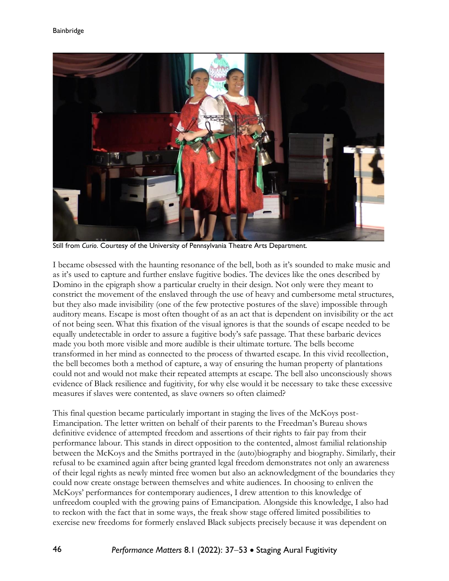

Still from *Curio*. Courtesy of the University of Pennsylvania Theatre Arts Department.

I became obsessed with the haunting resonance of the bell, both as it's sounded to make music and as it's used to capture and further enslave fugitive bodies. The devices like the ones described by Domino in the epigraph show a particular cruelty in their design. Not only were they meant to constrict the movement of the enslaved through the use of heavy and cumbersome metal structures, but they also made invisibility (one of the few protective postures of the slave) impossible through auditory means. Escape is most often thought of as an act that is dependent on invisibility or the act of not being seen. What this fixation of the visual ignores is that the sounds of escape needed to be equally undetectable in order to assure a fugitive body's safe passage. That these barbaric devices made you both more visible and more audible is their ultimate torture. The bells become transformed in her mind as connected to the process of thwarted escape. In this vivid recollection, the bell becomes both a method of capture, a way of ensuring the human property of plantations could not and would not make their repeated attempts at escape. The bell also unconsciously shows evidence of Black resilience and fugitivity, for why else would it be necessary to take these excessive measures if slaves were contented, as slave owners so often claimed?

This final question became particularly important in staging the lives of the McKoys post-Emancipation. The letter written on behalf of their parents to the Freedman's Bureau shows definitive evidence of attempted freedom and assertions of their rights to fair pay from their performance labour. This stands in direct opposition to the contented, almost familial relationship between the McKoys and the Smiths portrayed in the (auto)biography and biography. Similarly, their refusal to be examined again after being granted legal freedom demonstrates not only an awareness of their legal rights as newly minted free women but also an acknowledgment of the boundaries they could now create onstage between themselves and white audiences. In choosing to enliven the McKoys' performances for contemporary audiences, I drew attention to this knowledge of unfreedom coupled with the growing pains of Emancipation. Alongside this knowledge, I also had to reckon with the fact that in some ways, the freak show stage offered limited possibilities to exercise new freedoms for formerly enslaved Black subjects precisely because it was dependent on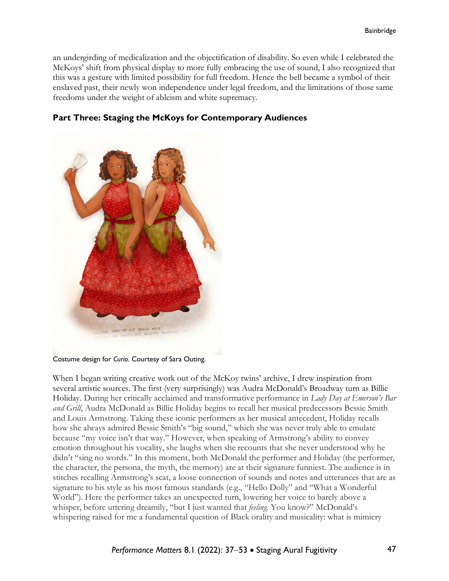an undergirding of medicalization and the objectification of disability. So even while I celebrated the McKoys' shift from physical display to more fully embracing the use of sound, I also recognized that this was a gesture with limited possibility for full freedom. Hence the bell became a symbol of their enslaved past, their newly won independence under legal freedom, and the limitations of those same freedoms under the weight of ableism and white supremacy.



### **Part Three: Staging the McKoys for Contemporary Audiences**

Costume design for *Curio*. Courtesy of Sara Outing.

When I began writing creative work out of the McKoy twins' archive, I drew inspiration from several artistic sources. The first (very surprisingly) was Audra McDonald's Broadway turn as Billie Holiday. During her critically acclaimed and transformative performance in *Lady Day at Emerson's Bar and Grill*, Audra McDonald as Billie Holiday begins to recall her musical predecessors Bessie Smith and Louis Armstrong. Taking these iconic performers as her musical antecedent, Holiday recalls how she always admired Bessie Smith's "big sound," which she was never truly able to emulate because "my voice isn't that way." However, when speaking of Armstrong's ability to convey emotion throughout his vocality, she laughs when she recounts that she never understood why he didn't "sing no words." In this moment, both McDonald the performer and Holiday (the performer, the character, the persona, the myth, the memory) are at their signature funniest. The audience is in stitches recalling Armstrong's scat, a loose connection of sounds and notes and utterances that are as signature to his style as his most famous standards (e.g., "Hello Dolly" and "What a Wonderful World"). Here the performer takes an unexpected turn, lowering her voice to barely above a whisper, before uttering dreamily, "but I just wanted that *feeling.* You know?" McDonald's whispering raised for me a fundamental question of Black orality and musicality: what is mimicry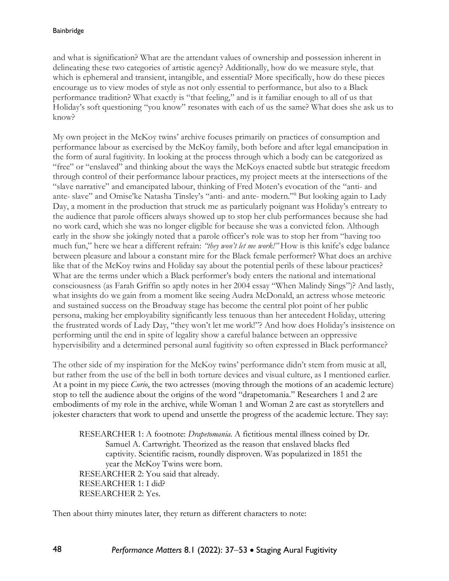and what is signification? What are the attendant values of ownership and possession inherent in delineating these two categories of artistic agency? Additionally, how do we measure style, that which is ephemeral and transient, intangible, and essential? More specifically, how do these pieces encourage us to view modes of style as not only essential to performance, but also to a Black performance tradition? What exactly is "that feeling," and is it familiar enough to all of us that Holiday's soft questioning "you know" resonates with each of us the same? What does she ask us to know?

My own project in the McKoy twins' archive focuses primarily on practices of consumption and performance labour as exercised by the McKoy family, both before and after legal emancipation in the form of aural fugitivity. In looking at the process through which a body can be categorized as "free" or "enslaved" and thinking about the ways the McKoys enacted subtle but strategic freedom through control of their performance labour practices, my project meets at the intersections of the "slave narrative" and emancipated labour, thinking of Fred Moten's evocation of the "anti- and ante- slave" and Omise'ke Natasha Tinsley's "anti- and ante- modern." <sup>8</sup> But looking again to Lady Day, a moment in the production that struck me as particularly poignant was Holiday's entreaty to the audience that parole officers always showed up to stop her club performances because she had no work card, which she was no longer eligible for because she was a convicted felon. Although early in the show she jokingly noted that a parole officer's role was to stop her from "having too much fun," here we hear a different refrain: *"they won't let me work!"* How is this knife's edge balance between pleasure and labour a constant mire for the Black female performer? What does an archive like that of the McKoy twins and Holiday say about the potential perils of these labour practices? What are the terms under which a Black performer's body enters the national and international consciousness (as Farah Griffin so aptly notes in her 2004 essay "When Malindy Sings")? And lastly, what insights do we gain from a moment like seeing Audra McDonald, an actress whose meteoric and sustained success on the Broadway stage has become the central plot point of her public persona, making her employability significantly less tenuous than her antecedent Holiday, uttering the frustrated words of Lady Day, "they won't let me work!"? And how does Holiday's insistence on performing until the end in spite of legality show a careful balance between an oppressive hypervisibility and a determined personal aural fugitivity so often expressed in Black performance?

The other side of my inspiration for the McKoy twins' performance didn't stem from music at all, but rather from the use of the bell in both torture devices and visual culture, as I mentioned earlier. At a point in my piece *Curio*, the two actresses (moving through the motions of an academic lecture) stop to tell the audience about the origins of the word "drapetomania." Researchers 1 and 2 are embodiments of my role in the archive, while Woman 1 and Woman 2 are cast as storytellers and jokester characters that work to upend and unsettle the progress of the academic lecture. They say:

RESEARCHER 1: A footnote: *Drapetomania.* A fictitious mental illness coined by Dr. Samuel A. Cartwright. Theorized as the reason that enslaved blacks fled captivity. Scientific racism, roundly disproven. Was popularized in 1851 the year the McKoy Twins were born. RESEARCHER 2: You said that already. RESEARCHER 1: I did? RESEARCHER 2: Yes.

Then about thirty minutes later, they return as different characters to note: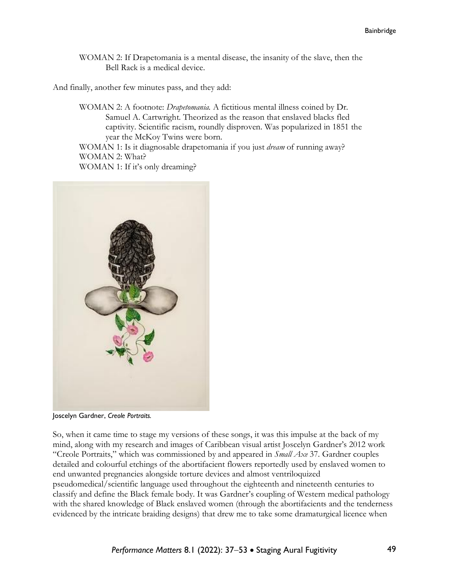WOMAN 2: If Drapetomania is a mental disease, the insanity of the slave, then the Bell Rack is a medical device.

And finally, another few minutes pass, and they add:

WOMAN 2: A footnote: *Drapetomania.* A fictitious mental illness coined by Dr. Samuel A. Cartwright. Theorized as the reason that enslaved blacks fled captivity. Scientific racism, roundly disproven. Was popularized in 1851 the year the McKoy Twins were born.

WOMAN 1: Is it diagnosable drapetomania if you just *dream* of running away? WOMAN 2: What?

WOMAN 1: If it's only dreaming?

![](_page_12_Picture_6.jpeg)

Joscelyn Gardner, *Creole Portraits.*

So, when it came time to stage my versions of these songs, it was this impulse at the back of my mind, along with my research and images of Caribbean visual artist Joscelyn Gardner's 2012 work "Creole Portraits," which was commissioned by and appeared in *Small Axe* 37. Gardner couples detailed and colourful etchings of the abortifacient flowers reportedly used by enslaved women to end unwanted pregnancies alongside torture devices and almost ventriloquized pseudomedical/scientific language used throughout the eighteenth and nineteenth centuries to classify and define the Black female body. It was Gardner's coupling of Western medical pathology with the shared knowledge of Black enslaved women (through the abortifacients and the tenderness evidenced by the intricate braiding designs) that drew me to take some dramaturgical licence when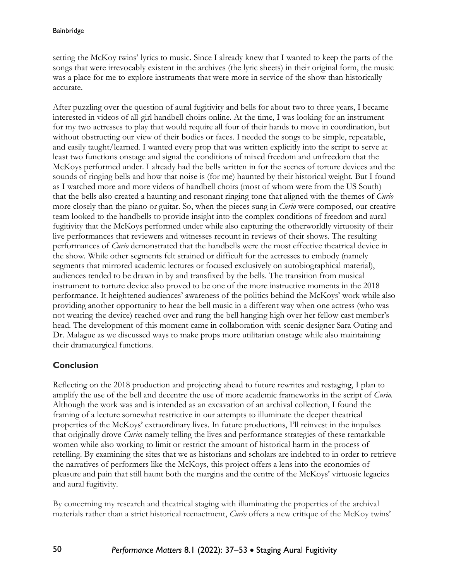setting the McKoy twins' lyrics to music. Since I already knew that I wanted to keep the parts of the songs that were irrevocably existent in the archives (the lyric sheets) in their original form, the music was a place for me to explore instruments that were more in service of the show than historically accurate.

After puzzling over the question of aural fugitivity and bells for about two to three years, I became interested in videos of all-girl handbell choirs online. At the time, I was looking for an instrument for my two actresses to play that would require all four of their hands to move in coordination, but without obstructing our view of their bodies or faces. I needed the songs to be simple, repeatable, and easily taught/learned. I wanted every prop that was written explicitly into the script to serve at least two functions onstage and signal the conditions of mixed freedom and unfreedom that the McKoys performed under. I already had the bells written in for the scenes of torture devices and the sounds of ringing bells and how that noise is (for me) haunted by their historical weight. But I found as I watched more and more videos of handbell choirs (most of whom were from the US South) that the bells also created a haunting and resonant ringing tone that aligned with the themes of *Curio* more closely than the piano or guitar. So, when the pieces sung in *Curio* were composed, our creative team looked to the handbells to provide insight into the complex conditions of freedom and aural fugitivity that the McKoys performed under while also capturing the otherworldly virtuosity of their live performances that reviewers and witnesses recount in reviews of their shows. The resulting performances of *Curio* demonstrated that the handbells were the most effective theatrical device in the show. While other segments felt strained or difficult for the actresses to embody (namely segments that mirrored academic lectures or focused exclusively on autobiographical material), audiences tended to be drawn in by and transfixed by the bells. The transition from musical instrument to torture device also proved to be one of the more instructive moments in the 2018 performance. It heightened audiences' awareness of the politics behind the McKoys' work while also providing another opportunity to hear the bell music in a different way when one actress (who was not wearing the device) reached over and rung the bell hanging high over her fellow cast member's head. The development of this moment came in collaboration with scenic designer Sara Outing and Dr. Malague as we discussed ways to make props more utilitarian onstage while also maintaining their dramaturgical functions.

## **Conclusion**

Reflecting on the 2018 production and projecting ahead to future rewrites and restaging, I plan to amplify the use of the bell and decentre the use of more academic frameworks in the script of *Curio.* Although the work was and is intended as an excavation of an archival collection, I found the framing of a lecture somewhat restrictive in our attempts to illuminate the deeper theatrical properties of the McKoys' extraordinary lives. In future productions, I'll reinvest in the impulses that originally drove *Curio*: namely telling the lives and performance strategies of these remarkable women while also working to limit or restrict the amount of historical harm in the process of retelling. By examining the sites that we as historians and scholars are indebted to in order to retrieve the narratives of performers like the McKoys, this project offers a lens into the economies of pleasure and pain that still haunt both the margins and the centre of the McKoys' virtuosic legacies and aural fugitivity.

By concerning my research and theatrical staging with illuminating the properties of the archival materials rather than a strict historical reenactment, *Curio* offers a new critique of the McKoy twins'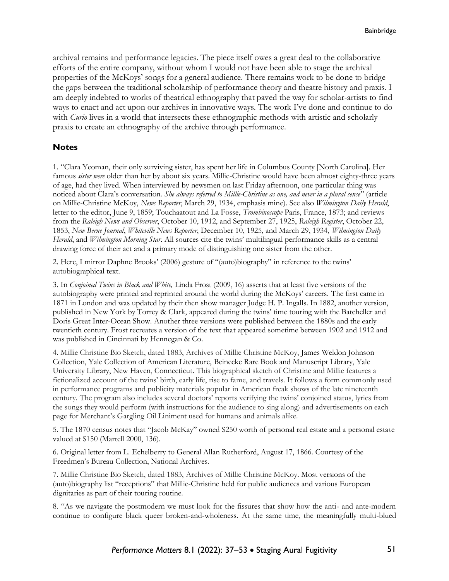archival remains and performance legacies. The piece itself owes a great deal to the collaborative efforts of the entire company, without whom I would not have been able to stage the archival properties of the McKoys' songs for a general audience. There remains work to be done to bridge the gaps between the traditional scholarship of performance theory and theatre history and praxis. I am deeply indebted to works of theatrical ethnography that paved the way for scholar-artists to find ways to enact and act upon our archives in innovative ways. The work I've done and continue to do with *Curio* lives in a world that intersects these ethnographic methods with artistic and scholarly praxis to create an ethnography of the archive through performance.

#### **Notes**

1. "Clara Yeoman, their only surviving sister, has spent her life in Columbus County [North Carolina]. Her famous *sister were* older than her by about six years. Millie-Christine would have been almost eighty-three years of age, had they lived. When interviewed by newsmen on last Friday afternoon, one particular thing was noticed about Clara's conversation*. She always referred to Millie-Christine as one, and never in a plural sense*" (article on Millie-Christine McKoy, *News Reporter*, March 29, 1934, emphasis mine). See also *Wilmington Daily Herald*, letter to the editor, June 9, 1859; Touchaatout and La Fosse, *Trombinoscope* Paris, France, 1873; and reviews from the *Raleigh News and Observer*, October 10, 1912, and September 27, 1925, *Raleigh Register*, October 22, 1853, *New Berne Journal*, *Whiteville News Reporter*, December 10, 1925, and March 29, 1934, *Wilmington Daily Herald*, and *Wilmington Morning Star*. All sources cite the twins' multilingual performance skills as a central drawing force of their act and a primary mode of distinguishing one sister from the other.

2. Here, I mirror Daphne Brooks' (2006) gesture of "(auto)biography" in reference to the twins' autobiographical text.

3. In *Conjoined Twins in Black and White,* Linda Frost (2009, 16) asserts that at least five versions of the autobiography were printed and reprinted around the world during the McKoys' careers. The first came in 1871 in London and was updated by their then show manager Judge H. P. Ingalls. In 1882, another version, published in New York by Torrey & Clark, appeared during the twins' time touring with the Batcheller and Doris Great Inter-Ocean Show. Another three versions were published between the 1880s and the early twentieth century. Frost recreates a version of the text that appeared sometime between 1902 and 1912 and was published in Cincinnati by Hennegan & Co.

4. Millie Christine Bio Sketch, dated 1883, Archives of Millie Christine McKoy, James Weldon Johnson Collection, Yale Collection of American Literature, Beinecke Rare Book and Manuscript Library, Yale University Library, New Haven, Connecticut. This biographical sketch of Christine and Millie features a fictionalized account of the twins' birth, early life, rise to fame, and travels. It follows a form commonly used in performance programs and publicity materials popular in American freak shows of the late nineteenth century. The program also includes several doctors' reports verifying the twins' conjoined status, lyrics from the songs they would perform (with instructions for the audience to sing along) and advertisements on each page for Merchant's Gargling Oil Liniment used for humans and animals alike.

5. The 1870 census notes that "Jacob McKay" owned \$250 worth of personal real estate and a personal estate valued at \$150 (Martell 2000, 136).

6. Original letter from L. Echelberry to General Allan Rutherford, August 17, 1866. Courtesy of the Freedmen's Bureau Collection, National Archives.

7. Millie Christine Bio Sketch, dated 1883, Archives of Millie Christine McKoy. Most versions of the (auto)biography list "receptions" that Millie-Christine held for public audiences and various European dignitaries as part of their touring routine.

8. "As we navigate the postmodern we must look for the fissures that show how the anti- and ante-modern continue to configure black queer broken-and-wholeness. At the same time, the meaningfully multi-blued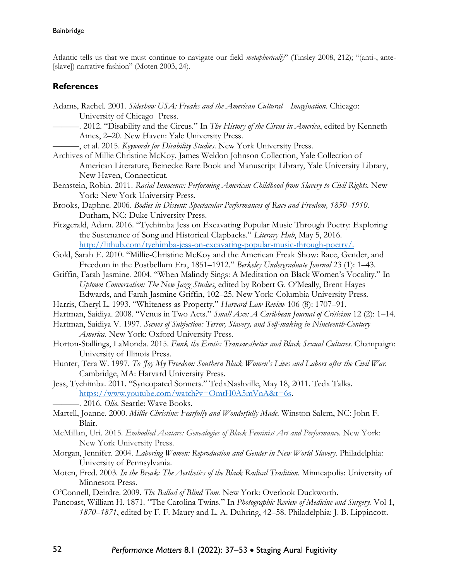Atlantic tells us that we must continue to navigate our field *metaphorically*" (Tinsley 2008, 212); "(anti-, ante- [slave]) narrative fashion" (Moten 2003, 24).

#### **References**

- Adams, Rachel. 2001. *Sideshow USA: Freaks and the American Cultural Imagination.* Chicago: University of Chicago Press.
	- ———. 2012. "Disability and the Circus." In *The History of the Circus in America*, edited by Kenneth Ames, 2–20. New Haven: Yale University Press.
- ———, et al. 2015. *Keywords for Disability Studies*. New York University Press.
- Archives of Millie Christine McKoy. James Weldon Johnson Collection, Yale Collection of American Literature, Beinecke Rare Book and Manuscript Library, Yale University Library, New Haven, Connecticut.
- Bernstein, Robin. 2011. *Racial Innocence: Performing American Childhood from Slavery to Civil Rights*. New York: New York University Press.
- Brooks, Daphne. 2006. *Bodies in Dissent: Spectacular Performances of Race and Freedom, 1850–1910*. Durham, NC: Duke University Press.
- Fitzgerald, Adam. 2016. "Tyehimba Jess on Excavating Popular Music Through Poetry: Exploring the Sustenance of Song and Historical Clapbacks." *Literary Hub*, May 5, 2016. [http://lithub.com/tyehimba-jess-on-excavating-popular-music-through-poetry/.](http://lithub.com/tyehimba-jess-on-excavating-popular-music-through-poetry/)
- Gold, Sarah E. 2010. "Millie-Christine McKoy and the American Freak Show: Race, Gender, and Freedom in the Postbellum Era, 1851–1912." *Berkeley Undergraduate Journal* 23 (1): 1–43.
- Griffin, Farah Jasmine. 2004. "When Malindy Sings: A Meditation on Black Women's Vocality." In *Uptown Conversation: The New Jazz Studies*, edited by Robert G. O'Meally, Brent Hayes Edwards, and Farah Jasmine Griffin, 102–25. New York: Columbia University Press.
- Harris, Cheryl L. 1993. "Whiteness as Property." *Harvard Law Review* 106 (8): 1707–91.
- Hartman, Saidiya. 2008. "Venus in Two Acts." *Small Axe: A Caribbean Journal of Criticism* 12 (2): 1–14.
- Hartman, Saidiya V. 1997. *Scenes of Subjection: Terror, Slavery, and Self-making in Nineteenth-Century America.* New York: Oxford University Press.
- Horton-Stallings, LaMonda. 2015. *Funk the Erotic: Transaesthetics and Black Sexual Cultures.* Champaign: University of Illinois Press.
- Hunter, Tera W. 1997. *To 'Joy My Freedom: Southern Black Women's Lives and Labors after the Civil War.* Cambridge, MA: Harvard University Press.
- Jess, Tyehimba. 2011. "Syncopated Sonnets." TedxNashville, May 18, 2011. Tedx Talks. [https://www.youtube.com/watch?v=OmtH0A5mVnA&t=6s.](https://www.youtube.com/watch?v=OmtH0A5mVnA&t=6s)
	- ———. 2016. *Olio*. Seattle: Wave Books.
- Martell, Joanne. 2000. *Millie-Christine: Fearfully and Wonderfully Made.* Winston Salem, NC: John F. Blair.
- McMillan, Uri. 2015. *Embodied Avatars: Genealogies of Black Feminist Art and Performance.* New York: New York University Press.
- Morgan, Jennifer. 2004. *Laboring Women: Reproduction and Gender in New World Slavery*. Philadelphia: University of Pennsylvania.
- Moten, Fred. 2003. *In the Break: The Aesthetics of the Black Radical Tradition*. Minneapolis: University of Minnesota Press.
- O'Connell, Deirdre. 2009. *The Ballad of Blind Tom.* New York: Overlook Duckworth.
- Pancoast, William H. 1871. "The Carolina Twins." In *Photographic Review of Medicine and Surgery.* Vol 1, *1870–1871*, edited by F. F. Maury and L. A. Duhring, 42–58. Philadelphia: J. B. Lippincott.